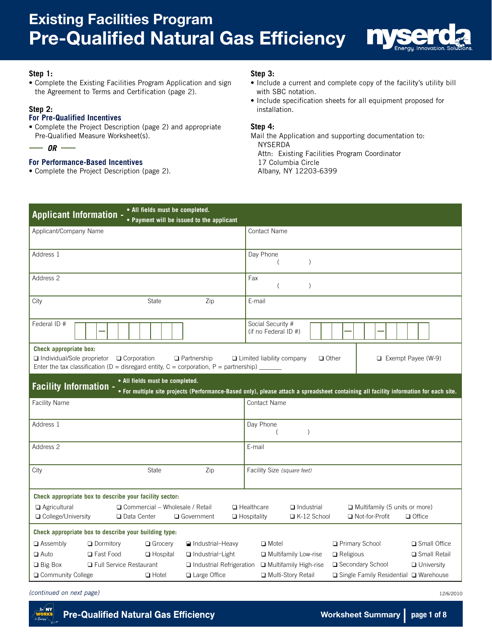

#### **Step 1:**

• Complete the Existing Facilities Program Application and sign the Agreement to Terms and Certification (page 2).

#### **Step 2:**

 $\overline{\phantom{0}}$ 

#### **For Pre-Qualified Incentives**

• Complete the Project Description (page 2) and appropriate Pre-Qualified Measure Worksheet(s).

$$
- or -
$$

#### **For Performance-Based Incentives**

• Complete the Project Description (page 2).

#### **Step 3:**

- Include a current and complete copy of the facility's utility bill with SBC notation.
- Include specification sheets for all equipment proposed for installation.

#### **Step 4:**

Mail the Application and supporting documentation to: NYSERDA Attn: Existing Facilities Program Coordinator 17 Columbia Circle Albany, NY 12203-6399

| • All fields must be completed.<br><b>Applicant Information -</b><br>• Payment will be issued to the applicant                                                                                   |                                                                                                                                                     |
|--------------------------------------------------------------------------------------------------------------------------------------------------------------------------------------------------|-----------------------------------------------------------------------------------------------------------------------------------------------------|
| Applicant/Company Name                                                                                                                                                                           | <b>Contact Name</b>                                                                                                                                 |
| Address 1                                                                                                                                                                                        | Day Phone<br>$\mathcal{E}$<br>(                                                                                                                     |
| Address 2                                                                                                                                                                                        | Fax<br>$\mathcal{E}$                                                                                                                                |
| Zip<br><b>State</b><br>City                                                                                                                                                                      | E-mail                                                                                                                                              |
| Federal ID #                                                                                                                                                                                     | Social Security #<br>(if no Federal ID #)                                                                                                           |
| Check appropriate box:<br>Individual/Sole proprietor<br>$\Box$ Corporation<br>$\Box$ Partnership<br>Enter the tax classification ( $D =$ disregard entity, $C =$ corporation, $P =$ partnership) | $\Box$ Other<br>$\Box$ Exempt Payee (W-9)<br>$\Box$ Limited liability company                                                                       |
| • All fields must be completed.<br><b>Facility Information -</b>                                                                                                                                 | . For multiple site projects (Performance-Based only), please attach a spreadsheet containing all facility information for each site.               |
| <b>Facility Name</b>                                                                                                                                                                             | <b>Contact Name</b>                                                                                                                                 |
| Address 1                                                                                                                                                                                        | Day Phone<br>$\mathcal{E}$                                                                                                                          |
| Address 2                                                                                                                                                                                        | E-mail                                                                                                                                              |
| Zip<br><b>State</b><br>City                                                                                                                                                                      | Facility Size (square feet)                                                                                                                         |
| Check appropriate box to describe your facility sector:                                                                                                                                          |                                                                                                                                                     |
| $\Box$ Agricultural<br>□ Commercial – Wholesale / Retail<br>□ College/University<br>$\Box$ Data Center<br>□ Government                                                                           | $\Box$ Healthcare<br>$\Box$ Industrial<br>Multifamily (5 units or more)<br>$\Box$ Hospitality<br>□ K-12 School<br>□ Not-for-Profit<br>$\Box$ Office |
| Check appropriate box to describe your building type:                                                                                                                                            |                                                                                                                                                     |
| $\Box$ Assembly<br>$\Box$ Dormitory<br>$\Box$ Grocery<br>Industrial-Heavy                                                                                                                        | Primary School<br>□ Small Office<br>$\Box$ Motel                                                                                                    |
| $\Box$ Auto<br><b>Q</b> Fast Food<br>$\Box$ Hospital<br>Industrial-Light                                                                                                                         | Multifamily Low-rise<br>Small Retail<br>$\Box$ Religious                                                                                            |
| $\Box$ Big Box<br>□ Full Service Restaurant<br>□ Industrial Refrigeration                                                                                                                        | □ Secondary School<br>Multifamily High-rise<br>$\Box$ University                                                                                    |
| $\Box$ Hotel<br>□ Large Office<br>□ Community College                                                                                                                                            | Multi-Story Retail<br>□ Single Family Residential □ Warehouse                                                                                       |

*(continued on next page)*



12/6/2010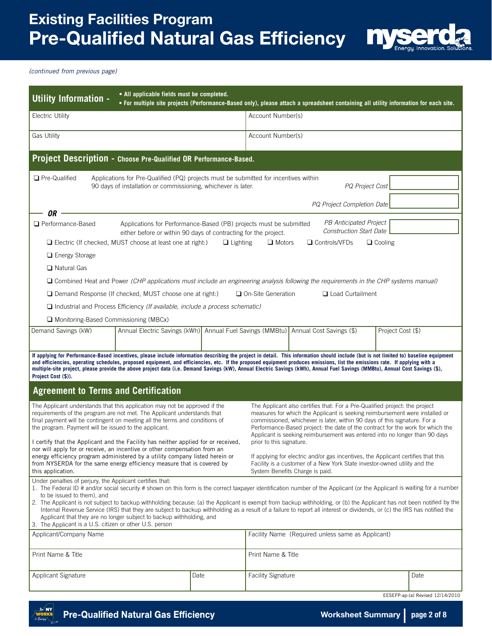

*(continued from previous page)*

| • All applicable fields must be completed.<br>Utility Information -<br>. For multiple site projects (Performance-Based only), please attach a spreadsheet containing all utility information for each site.                                                                                                                                                                                                                                                                                                                                                                                                                                                                                      |                                                                  |                                                                                                                                                                                                                                                                                                                                                                                                                                     |  |                                                   |                   |      |  |  |  |
|--------------------------------------------------------------------------------------------------------------------------------------------------------------------------------------------------------------------------------------------------------------------------------------------------------------------------------------------------------------------------------------------------------------------------------------------------------------------------------------------------------------------------------------------------------------------------------------------------------------------------------------------------------------------------------------------------|------------------------------------------------------------------|-------------------------------------------------------------------------------------------------------------------------------------------------------------------------------------------------------------------------------------------------------------------------------------------------------------------------------------------------------------------------------------------------------------------------------------|--|---------------------------------------------------|-------------------|------|--|--|--|
| <b>Electric Utility</b>                                                                                                                                                                                                                                                                                                                                                                                                                                                                                                                                                                                                                                                                          |                                                                  | Account Number(s)                                                                                                                                                                                                                                                                                                                                                                                                                   |  |                                                   |                   |      |  |  |  |
| <b>Gas Utility</b>                                                                                                                                                                                                                                                                                                                                                                                                                                                                                                                                                                                                                                                                               |                                                                  | Account Number(s)                                                                                                                                                                                                                                                                                                                                                                                                                   |  |                                                   |                   |      |  |  |  |
|                                                                                                                                                                                                                                                                                                                                                                                                                                                                                                                                                                                                                                                                                                  | Project Description - Choose Pre-Qualified OR Performance-Based. |                                                                                                                                                                                                                                                                                                                                                                                                                                     |  |                                                   |                   |      |  |  |  |
| <b>Q</b> Pre-Qualified<br>Applications for Pre-Qualified (PQ) projects must be submitted for incentives within<br>PQ Project Cost<br>90 days of installation or commissioning, whichever is later.<br><b>PQ Project Completion Date</b>                                                                                                                                                                                                                                                                                                                                                                                                                                                          |                                                                  |                                                                                                                                                                                                                                                                                                                                                                                                                                     |  |                                                   |                   |      |  |  |  |
| 0R                                                                                                                                                                                                                                                                                                                                                                                                                                                                                                                                                                                                                                                                                               |                                                                  |                                                                                                                                                                                                                                                                                                                                                                                                                                     |  |                                                   |                   |      |  |  |  |
| PB Anticipated Project<br>Performance-Based<br>Applications for Performance-Based (PB) projects must be submitted<br><b>Construction Start Date</b><br>either before or within 90 days of contracting for the project.<br>$\Box$ Electric (If checked, MUST choose at least one at right:)<br>$\Box$ Motors<br>□ Controls/VFDs<br>$\Box$ Cooling<br>$\Box$ Lighting                                                                                                                                                                                                                                                                                                                              |                                                                  |                                                                                                                                                                                                                                                                                                                                                                                                                                     |  |                                                   |                   |      |  |  |  |
| $\Box$ Energy Storage                                                                                                                                                                                                                                                                                                                                                                                                                                                                                                                                                                                                                                                                            |                                                                  |                                                                                                                                                                                                                                                                                                                                                                                                                                     |  |                                                   |                   |      |  |  |  |
| $\Box$ Natural Gas                                                                                                                                                                                                                                                                                                                                                                                                                                                                                                                                                                                                                                                                               |                                                                  |                                                                                                                                                                                                                                                                                                                                                                                                                                     |  |                                                   |                   |      |  |  |  |
| $\Box$ Combined Heat and Power (CHP applications must include an engineering analysis following the requirements in the CHP systems manual)                                                                                                                                                                                                                                                                                                                                                                                                                                                                                                                                                      |                                                                  |                                                                                                                                                                                                                                                                                                                                                                                                                                     |  |                                                   |                   |      |  |  |  |
| $\Box$ Demand Response (If checked, MUST choose one at right:)                                                                                                                                                                                                                                                                                                                                                                                                                                                                                                                                                                                                                                   |                                                                  | $\Box$ On-Site Generation                                                                                                                                                                                                                                                                                                                                                                                                           |  | <b>Q</b> Load Curtailment                         |                   |      |  |  |  |
| $\Box$ Industrial and Process Efficiency (If available, include a process schematic)                                                                                                                                                                                                                                                                                                                                                                                                                                                                                                                                                                                                             |                                                                  |                                                                                                                                                                                                                                                                                                                                                                                                                                     |  |                                                   |                   |      |  |  |  |
| Monitoring-Based Commissioning (MBCx)                                                                                                                                                                                                                                                                                                                                                                                                                                                                                                                                                                                                                                                            |                                                                  |                                                                                                                                                                                                                                                                                                                                                                                                                                     |  |                                                   |                   |      |  |  |  |
| Demand Savings (kW)<br>Annual Electric Savings (kWh) Annual Fuel Savings (MMBtu) Annual Cost Savings (\$)                                                                                                                                                                                                                                                                                                                                                                                                                                                                                                                                                                                        |                                                                  |                                                                                                                                                                                                                                                                                                                                                                                                                                     |  |                                                   | Project Cost (\$) |      |  |  |  |
| If applying for Performance-Based incentives, please include information describing the project in detail. This information should include (but is not limited to) baseline equipment<br>and efficiencies, operating schedules, proposed equipment, and efficiencies, etc. If the proposed equipment produces emissions, list the emissions rate. If applying with a<br>multiple-site project, please provide the above project data (i.e. Demand Savings (kW), Annual Electric Savings (kWh), Annual Fuel Savings (MMBtu), Annual Cost Savings (\$),<br>Project Cost (\$)).<br><b>Agreement to Terms and Certification</b>                                                                      |                                                                  |                                                                                                                                                                                                                                                                                                                                                                                                                                     |  |                                                   |                   |      |  |  |  |
| The Applicant understands that this application may not be approved if the                                                                                                                                                                                                                                                                                                                                                                                                                                                                                                                                                                                                                       |                                                                  |                                                                                                                                                                                                                                                                                                                                                                                                                                     |  |                                                   |                   |      |  |  |  |
| requirements of the program are not met. The Applicant understands that<br>final payment will be contingent on meeting all the terms and conditions of<br>the program. Payment will be issued to the applicant.<br>I certify that the Applicant and the Facility has neither applied for or received.<br>nor will apply for or receive, an incentive or other compensation from an                                                                                                                                                                                                                                                                                                               |                                                                  | The Applicant also certifies that: For a Pre-Qualified project: the project<br>measures for which the Applicant is seeking reimbursement were installed or<br>commissioned, whichever is later, within 90 days of this signature. For a<br>Performance-Based project: the date of the contract for the work for which the<br>Applicant is seeking reimbursement was entered into no longer than 90 days<br>prior to this signature. |  |                                                   |                   |      |  |  |  |
| energy efficiency program administered by a utility company listed herein or<br>from NYSERDA for the same energy efficiency measure that is covered by<br>this application.                                                                                                                                                                                                                                                                                                                                                                                                                                                                                                                      |                                                                  | If applying for electric and/or gas incentives, the Applicant certifies that this<br>Facility is a customer of a New York State investor-owned utility and the<br>System Benefits Charge is paid.                                                                                                                                                                                                                                   |  |                                                   |                   |      |  |  |  |
| Under penalties of perjury, the Applicant certifies that:<br>1. The Federal ID # and/or social security # shown on this form is the correct taxpayer identification number of the Applicant (or the Applicant is waiting for a number<br>to be issued to them), and<br>2. The Applicant is not subject to backup withholding because: (a) the Applicant is exempt from backup withholding, or (b) the Applicant has not been notified by the<br>Internal Revenue Service (IRS) that they are subject to backup withholding as a result of a failure to report all interest or dividends, or (c) the IRS has notified the<br>Applicant that they are no longer subject to backup withholding, and |                                                                  |                                                                                                                                                                                                                                                                                                                                                                                                                                     |  |                                                   |                   |      |  |  |  |
| 3. The Applicant is a U.S. citizen or other U.S. person<br>Applicant/Company Name                                                                                                                                                                                                                                                                                                                                                                                                                                                                                                                                                                                                                |                                                                  |                                                                                                                                                                                                                                                                                                                                                                                                                                     |  | Facility Name (Required unless same as Applicant) |                   |      |  |  |  |
|                                                                                                                                                                                                                                                                                                                                                                                                                                                                                                                                                                                                                                                                                                  |                                                                  |                                                                                                                                                                                                                                                                                                                                                                                                                                     |  |                                                   |                   |      |  |  |  |
| Print Name & Title                                                                                                                                                                                                                                                                                                                                                                                                                                                                                                                                                                                                                                                                               |                                                                  | Print Name & Title                                                                                                                                                                                                                                                                                                                                                                                                                  |  |                                                   |                   |      |  |  |  |
| <b>Applicant Signature</b><br>Date                                                                                                                                                                                                                                                                                                                                                                                                                                                                                                                                                                                                                                                               |                                                                  | <b>Facility Signature</b>                                                                                                                                                                                                                                                                                                                                                                                                           |  |                                                   |                   | Date |  |  |  |

EESEFP-ap-(a) Revised 12/14/2010

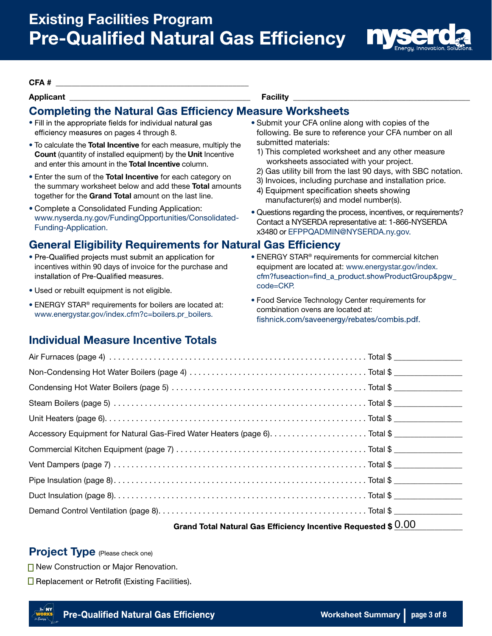

#### CFA # \_\_\_\_\_\_\_\_\_\_\_\_\_\_\_\_\_\_\_\_\_\_\_\_\_\_\_\_\_\_\_\_\_\_\_\_\_\_\_\_\_\_\_\_\_\_\_\_

# Applicant \_\_\_\_\_\_\_\_\_\_\_\_\_\_\_\_\_\_\_\_\_\_\_\_\_\_\_\_\_\_\_\_\_\_\_\_\_\_\_\_\_\_\_\_\_ Facility \_\_\_\_\_\_\_\_\_\_\_\_\_\_\_\_\_\_\_\_\_\_\_\_\_\_\_\_\_\_\_\_\_\_\_\_\_\_\_\_\_\_\_\_

## **Completing the Natural Gas Efficiency Measure Worksheets**

- efficiency measures on pages 4 through 8.
- To calculate the **Total Incentive** for each measure, multiply the submitted materials:<br>Count (quantity of installed equipment) by the Unit Incentive 1) This completed worksheet and any other measure Count (quantity of installed equipment) by the Unit Incentive Table of this completed worksheet and any other measure of the Total Incentive column
- and enter this amount in the **Total Incentive** column.<br>
 Enter the sum of the **Total Incentive** for each category on<br>
the summary worksheet below and add these **Total** amounts<br>
(a) Invoices, including purchase and install together for the Grand Total amount on the last line.<br>
• Complete a Consolidated Funding Application:<br>
• Curatione reserving the presses insertives
- 

# **General Eligibility Requirements for Natural Gas Efficiency**

- incentives within 90 days of invoice for the purchase and [equipment are located at: www.energystar.gov/index.](www.energystar.gov/index.cfm?fuseaction=find_a_product.showProductGroup&pgw_code=CKP) installation of Pre-Qualified measures.
- code=CKP. Used or rebuilt equipment is not eligible.
- www.energystar.gov/index.cfm?c=boilers.pr\_boilers.

### Individual Measure Incentive Totals

• Fill in the appropriate fields for individual natural gas • Submit your CFA online along with copies of the following. Be sure to reference your CFA number on all

- 
- 
- 
- 
- Questions regarding the process, incentives, or requirements? www.nyserda.ny.gov/FundingOpportunities/Consolidated-<br>Contact a NYSERDA representative at: 1-866-NYSERDA<br>x3480 or EFPPQADMIN@NYSERDA.ny.gov.
- Pre-Qualified projects must submit an application for THERGY STAR® requirements for commercial kitchen cfm?fuseaction=find\_a\_product.showProductGroup&pgw\_
- Food Service Technology Center requirements for boilers are located at:<br>combination ovens are located at:<br>combination ovens are located at: fishnick.com/saveenergy/rebates/combis.pdf.

| Grand Total Natural Gas Efficiency Incentive Requested \$ 0.00 |
|----------------------------------------------------------------|
|                                                                |
|                                                                |
|                                                                |
|                                                                |
|                                                                |
|                                                                |
|                                                                |
|                                                                |
|                                                                |
|                                                                |
|                                                                |

Project Type (Please check one)

**□ New Construction or Major Renovation.** 

 $\Box$  Replacement or Retrofit (Existing Facilities).

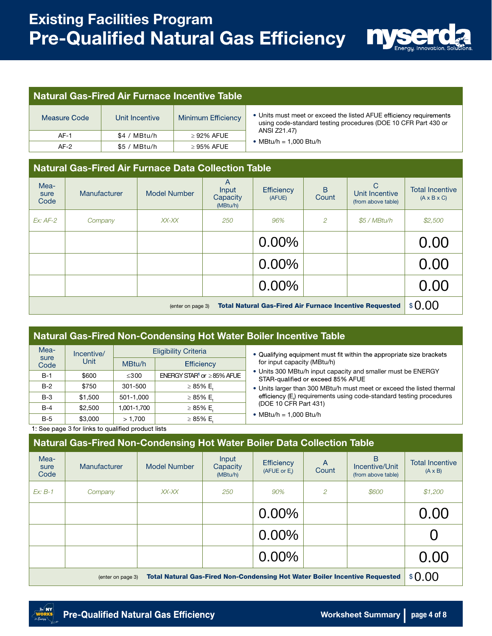

#### Natural Gas-Fired Air Furnace Incentive Table

| Measure Code | Unit Incentive | Minimum Efficiency | • Units must meet or ex<br>using code-standard t |  |
|--------------|----------------|--------------------|--------------------------------------------------|--|
| $AF-1$       | \$4 / MBtu/h   | $\geq$ 92% AFUE    | ANSI Z21.47)                                     |  |
| AF-2         | $$5 / MB$ tu/h | $>95\%$ AFUE       | • MBtu/h = $1.000$ Btu/h                         |  |

nust meet or exceed the listed AFUE efficiency requirements code-standard testing procedures (DOE 10 CFR Part 430 or

# Natural Gas-Fired Air Furnace Data Collection Table

| Mea-<br>sure<br>Code | Manufacturer                                                                        | <b>Model Number</b> | $\mathsf{A}$<br>Input<br>Capacity<br>(MBtu/h) | Efficiency<br>(AFUE) | B<br>Count     | $\mathcal{C}$<br>Unit Incentive<br>(from above table) | <b>Total Incentive</b><br>$(A \times B \times C)$ |  |
|----------------------|-------------------------------------------------------------------------------------|---------------------|-----------------------------------------------|----------------------|----------------|-------------------------------------------------------|---------------------------------------------------|--|
| $Ex: AF-2$           | Company                                                                             | XX-XX               | 250                                           | 96%                  | $\overline{2}$ | \$5 / MBtu/h                                          | \$2,500                                           |  |
|                      |                                                                                     |                     |                                               | 0.00%                |                |                                                       | 0.00                                              |  |
|                      |                                                                                     |                     |                                               | 0.00%                |                |                                                       | 0.00                                              |  |
|                      |                                                                                     |                     |                                               | $0.00\%$             |                |                                                       | 0.00                                              |  |
|                      | <b>Total Natural Gas-Fired Air Furnace Incentive Requested</b><br>(enter on page 3) |                     |                                               |                      |                |                                                       |                                                   |  |

#### Natural Gas-Fired Non-Condensing Hot Water Boiler Incentive Table

| Mea-         | Incentive/ |             | <b>Eligibility Criteria</b>                 | • Qualifying equipment must fit within the appropriate size brackets                              |
|--------------|------------|-------------|---------------------------------------------|---------------------------------------------------------------------------------------------------|
| sure<br>Code | Unit       | MBtu/h      | <b>Efficiency</b>                           | for input capacity (MBtu/h)                                                                       |
| $B-1$        | \$600      | $\leq 300$  | ENERGY STAR <sup>1</sup> or $\geq$ 85% AFUE | • Units 300 MBtu/h input capacity and smaller must be ENERGY<br>STAR-qualified or exceed 85% AFUE |
| $B-2$        | \$750      | 301-500     | $\geq 85\%$ E.                              | . Units larger than 300 MBtu/h must meet or exceed the listed thermal                             |
| B-3          | \$1,500    | 501-1.000   | $\geq 85\%$ E.                              | efficiency (E,) requirements using code-standard testing procedures                               |
| B-4          | \$2,500    | 1,001-1,700 | $\geq 85\%$ E.                              | (DOE 10 CFR Part 431)                                                                             |
| B-5          | \$3,000    | >1.700      | $\geq 85\%$ E.                              | • MBtu/h = 1.000 Btu/h                                                                            |

1: See page 3 for links to qualified product lists

### Natural Gas-Fired Non-Condensing Hot Water Boiler Data Collection Table

| Mea-<br>sure<br>Code                                                                                    | Manufacturer | Model Number | Input<br>Capacity<br>(MBtu/h) | Efficiency<br>(AFUE or E.) | A<br>Count | <sub>R</sub><br>Incentive/Unit<br>(from above table) | <b>Total Incentive</b><br>$(A \times B)$ |
|---------------------------------------------------------------------------------------------------------|--------------|--------------|-------------------------------|----------------------------|------------|------------------------------------------------------|------------------------------------------|
| $Ex: B-1$                                                                                               | Company      | XX-XX        | 250                           | 90%                        | 2          | \$600                                                | \$1,200                                  |
|                                                                                                         |              |              |                               | $0.00\%$                   |            |                                                      | 0.00                                     |
|                                                                                                         |              |              |                               | $0.00\%$                   |            |                                                      |                                          |
|                                                                                                         |              |              |                               | $0.00\%$                   |            |                                                      | 0.00                                     |
| <b>Total Natural Gas-Fired Non-Condensing Hot Water Boiler Incentive Requested</b><br>(enter on page 3) |              |              |                               |                            |            |                                                      |                                          |

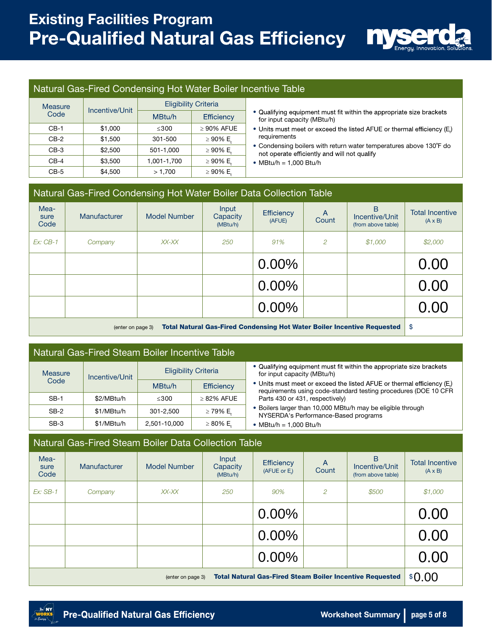

#### Natural Gas-Fired Condensing Hot Water Boiler Incentive Table

| <b>Measure</b> |                |             | <b>Eligibility Criteria</b> |                                                                                                                    |
|----------------|----------------|-------------|-----------------------------|--------------------------------------------------------------------------------------------------------------------|
| Code           | Incentive/Unit | MBtu/h      | Efficiency                  | • Qualifying equipment must fit within the appropriate size brackets<br>for input capacity (MBtu/h)                |
| $CB-1$         | \$1,000        | $\leq 300$  | $\geq 90\%$ AFUE            | • Units must meet or exceed the listed AFUE or thermal efficiency (E)                                              |
| $CB-2$         | \$1,500        | 301-500     | $\geq 90\%$ E.              | requirements                                                                                                       |
| $CB-3$         | \$2,500        | 501-1.000   | $\geq 90\%$ E.              | • Condensing boilers with return water temperatures above 130°F do<br>not operate efficiently and will not qualify |
| $CB-4$         | \$3.500        | 1,001-1,700 | $\geq 90\%$ E.              | • MBtu/h = $1.000$ Btu/h                                                                                           |
| $CB-5$         | \$4.500        | >1.700      | $\geq 90\%$ E.              |                                                                                                                    |

- for input capacity (MBtu/h)
- 
- Condensing boilers with return water temperatures above 130°F do not operate efficiently and will not qualify
- MBtu/h = 1,000 Btu/h

|                                                                                                     | Natural Gas-Fired Condensing Hot Water Boiler Data Collection Table |              |                               |                             |            |                                                      |                                          |  |  |
|-----------------------------------------------------------------------------------------------------|---------------------------------------------------------------------|--------------|-------------------------------|-----------------------------|------------|------------------------------------------------------|------------------------------------------|--|--|
| Mea-<br>sure<br>Code                                                                                | Manufacturer                                                        | Model Number | Input<br>Capacity<br>(MBtu/h) | <b>Efficiency</b><br>(AFUE) | A<br>Count | <sub>R</sub><br>Incentive/Unit<br>(from above table) | <b>Total Incentive</b><br>$(A \times B)$ |  |  |
| $Ex:CB-1$                                                                                           | Company                                                             | XX-XX        | 250                           | 91%                         | 2          | \$1,000                                              | \$2,000                                  |  |  |
|                                                                                                     |                                                                     |              |                               | $0.00\%$                    |            |                                                      | 0.00                                     |  |  |
|                                                                                                     |                                                                     |              |                               | $0.00\%$                    |            |                                                      | 0.00                                     |  |  |
|                                                                                                     |                                                                     |              |                               | $0.00\%$                    |            |                                                      | 0.00                                     |  |  |
| <b>Total Natural Gas-Fired Condensing Hot Water Boiler Incentive Requested</b><br>(enter on page 3) |                                                                     |              |                               |                             |            |                                                      |                                          |  |  |

#### Natural Gas-Fired Steam Boiler Incentive Table

| <b>Measure</b><br>Incentive/Unit |            |              | <b>Eligibility Criteria</b> | • Qualifying equipment must fit within the appropriate size brackets<br>for input capacity (MBtu/h)                                      |
|----------------------------------|------------|--------------|-----------------------------|------------------------------------------------------------------------------------------------------------------------------------------|
| Code                             |            | MBtu/h       | Efficiency                  | • Units must meet or exceed the listed AFUE or thermal efficiency (E)<br>requirements using code-standard testing procedures (DOE 10 CFR |
| $SB-1$                           | \$2/MBtu/h | ≤300         | $>82\%$ AFUE                | Parts 430 or 431, respectively)                                                                                                          |
| $SB-2$                           | \$1/MBtu/h | 301-2.500    | ≥ 79% E.                    | . Boilers larger than 10,000 MBtu/h may be eligible through<br>NYSERDA's Performance-Based programs                                      |
| $SB-3$                           | \$1/MBtu/h | 2.501-10.000 | $\geq 80\%$ E.              | • MBtu/h = $1.000$ Btu/h                                                                                                                 |

#### Natural Gas-Fired Steam Boiler Data Collection Table

| Mea-<br>sure<br>Code                                                                 | Manufacturer | <b>Model Number</b> | Input<br>Capacity<br>(MBtu/h) | Efficiency<br>(AFUE or E.) | A<br>Count | <sub>B</sub><br>Incentive/Unit<br>(from above table) | <b>Total Incentive</b><br>$(A \times B)$ |
|--------------------------------------------------------------------------------------|--------------|---------------------|-------------------------------|----------------------------|------------|------------------------------------------------------|------------------------------------------|
| $Ex:SB-1$                                                                            | Company      | XX-XX               | 250                           | 90%                        | 2          | \$500                                                | \$1,000                                  |
|                                                                                      |              |                     |                               | $0.00\%$                   |            |                                                      | 0.00                                     |
|                                                                                      |              |                     |                               | $0.00\%$                   |            |                                                      | 0.00                                     |
|                                                                                      |              |                     |                               | $0.00\%$                   |            |                                                      | 0.00                                     |
| <b>Total Natural Gas-Fired Steam Boiler Incentive Requested</b><br>(enter on page 3) |              |                     |                               |                            |            |                                                      | \$0.00                                   |

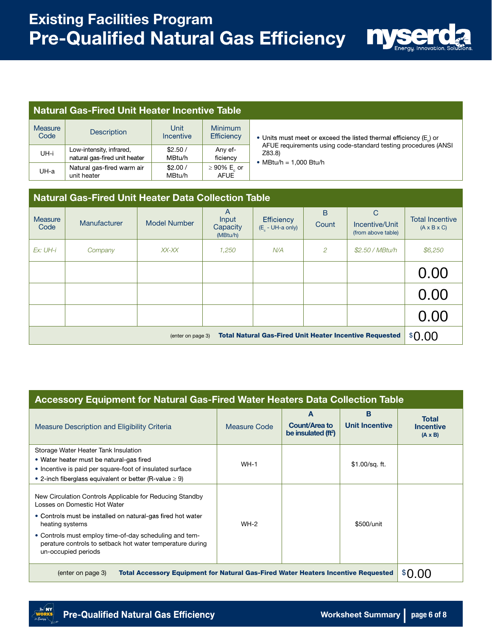

#### Natural Gas-Fired Unit Heater Incentive Table

| Measure<br>Code | <b>Description</b>                                        | Unit<br><b>Incentive</b> | <b>Minimum</b><br>Efficiency    | • Units must meet or exceed the listed thermal efficiency (E) or                                |  |  |  |
|-----------------|-----------------------------------------------------------|--------------------------|---------------------------------|-------------------------------------------------------------------------------------------------|--|--|--|
| UH-i            | Low-intensity, infrared,<br>natural gas-fired unit heater | \$2.50/<br>MBtu/h        | Any ef-<br>ficiency             | AFUE requirements using code-standard testing procedures (A<br>Z83.8)<br>• MBtu/h = 1.000 Btu/h |  |  |  |
| UH-a            | Natural gas-fired warm air<br>unit heater                 | \$2.00/<br>MBtu/h        | $\geq 90\%$ E or<br><b>AFUE</b> |                                                                                                 |  |  |  |

AFUE requirements using code-standard testing procedures (ANSI Z83.8)

# Natural Gas-Fired Unit Heater Data Collection Table A | B | C Measure Manufacturer Model Number Input Efficiency Count Incentive/Unit Total Incentive<br>Code Manufacturer Model Number Capacity (E<sub>c</sub>-UH-a only) Count Incentive/Unit (A x B x C)  $\begin{array}{c|c|c|c|c} \text{Capacity} & \text{Euler} & \text{Count} & \text{Incentive/Unit} & \text{(A x B x C)} \\ \text{(MBtu/h)} & \text{(F}_c - \text{UH-a only)} & \text{Count} & \text{(from above table)} \end{array}$ *Ex: UH-i Company XX-XX 1,250 N/A 2 \$2.50 / MBtu/h \$6,250* (enter on page 3) Total Natural Gas-Fired Unit Heater Incentive Requested  $\mid \$0.00$  $\frac{0.00}{0.00}$ 0.00

#### Accessory Equipment for Natural Gas-Fired Water Heaters Data Collection Table A B Total Measure Description and Eligibility Criteria Measure Code Count/Area to Unit Incentive Incentive be insulated (ft<sup>2</sup> ) (A x B) Storage Water Heater Tank Insulation • Water heater must be natural-gas fired<br>• Incentive is paid per square-foot of insulated surface WH-1 WH-1 \$1.00/sq. ft. • 2-inch fiberglass equivalent or better (R-value  $\geq 9$ ) New Circulation Controls Applicable for Reducing Standby Losses on Domestic Hot Water • Controls must be installed on natural-gas fired hot water heating systems WH-2 • Controls must employ time-of-day scheduling and temperature controls to setback hot water temperature during un-occupied periods \$500/unit (enter on page 3) Total Accessory Equipment for Natural Gas-Fired Water Heaters Incentive Requested 0.00

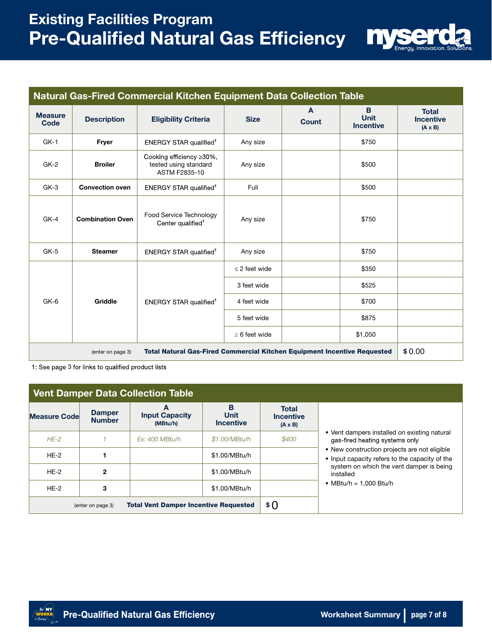# Existing Facilities Program **Pre-Qualified Natural Gas Efficiency**



| Natural Gas-Fired Commercial Kitchen Equipment Data Collection Table                                 |                         |                                                                           |                    |                   |                                      |                                                    |  |
|------------------------------------------------------------------------------------------------------|-------------------------|---------------------------------------------------------------------------|--------------------|-------------------|--------------------------------------|----------------------------------------------------|--|
| <b>Measure</b><br>Code                                                                               | <b>Description</b>      | <b>Eligibility Criteria</b>                                               | <b>Size</b>        | A<br><b>Count</b> | B<br><b>Unit</b><br><b>Incentive</b> | <b>Total</b><br><b>Incentive</b><br>$(A \times B)$ |  |
| $GK-1$                                                                                               | Fryer                   | ENERGY STAR qualified <sup>1</sup>                                        | Any size           |                   | \$750                                |                                                    |  |
| $GK-2$                                                                                               | <b>Broiler</b>          | Cooking efficiency ≥30%,<br>tested using standard<br><b>ASTM F2835-10</b> | Any size           |                   | \$500                                |                                                    |  |
| $GK-3$                                                                                               | <b>Convection oven</b>  | ENERGY STAR qualified <sup>1</sup>                                        | Full               |                   | \$500                                |                                                    |  |
| $GK-4$                                                                                               | <b>Combination Oven</b> | Food Service Technology<br>Center qualified <sup>1</sup>                  | Any size           |                   | \$750                                |                                                    |  |
| $GK-5$                                                                                               | <b>Steamer</b>          | <b>ENERGY STAR qualified<sup>1</sup></b>                                  | Any size           |                   | \$750                                |                                                    |  |
|                                                                                                      | Griddle                 | <b>ENERGY STAR qualified<sup>1</sup></b>                                  | $\leq$ 2 feet wide |                   | \$350                                |                                                    |  |
|                                                                                                      |                         |                                                                           | 3 feet wide        |                   | \$525                                |                                                    |  |
| GK-6                                                                                                 |                         |                                                                           | 4 feet wide        |                   | \$700                                |                                                    |  |
|                                                                                                      |                         |                                                                           | 5 feet wide        |                   | \$875                                |                                                    |  |
|                                                                                                      |                         |                                                                           | $\geq 6$ feet wide |                   | \$1,050                              |                                                    |  |
| <b>Total Natural Gas-Fired Commercial Kitchen Equipment Incentive Requested</b><br>(enter on page 3) |                         |                                                                           |                    |                   |                                      |                                                    |  |

1: See page 3 for links to qualified product lists

| <b>Vent Damper Data Collection Table</b>                          |                                |                                        |                                      |                                                    |                                                                                                |  |  |  |
|-------------------------------------------------------------------|--------------------------------|----------------------------------------|--------------------------------------|----------------------------------------------------|------------------------------------------------------------------------------------------------|--|--|--|
| <b>Measure Code</b>                                               | <b>Damper</b><br><b>Number</b> | А<br><b>Input Capacity</b><br>(MBtu/h) | в<br><b>Unit</b><br><b>Incentive</b> | <b>Total</b><br><b>Incentive</b><br>$(A \times B)$ |                                                                                                |  |  |  |
| $HE-2$                                                            |                                | Ex: 400 MBtu/h                         | \$1.00/MBtu/h                        | \$400                                              | • Vent dampers installed on existing natural<br>gas-fired heating systems only                 |  |  |  |
| $HE-2$                                                            |                                |                                        | \$1.00/MBtu/h                        |                                                    | • New construction projects are not eligible<br>• Input capacity refers to the capacity of the |  |  |  |
| $HE-2$                                                            | $\mathbf{2}$                   |                                        | \$1.00/MBtu/h                        |                                                    | system on which the vent damper is being<br>installed                                          |  |  |  |
| $HE-2$                                                            | 3                              |                                        | \$1.00/MBtu/h                        |                                                    | • MBtu/h = 1.000 Btu/h                                                                         |  |  |  |
| <b>Total Vent Damper Incentive Requested</b><br>(enter on page 3) |                                |                                        |                                      | \$ 0                                               |                                                                                                |  |  |  |